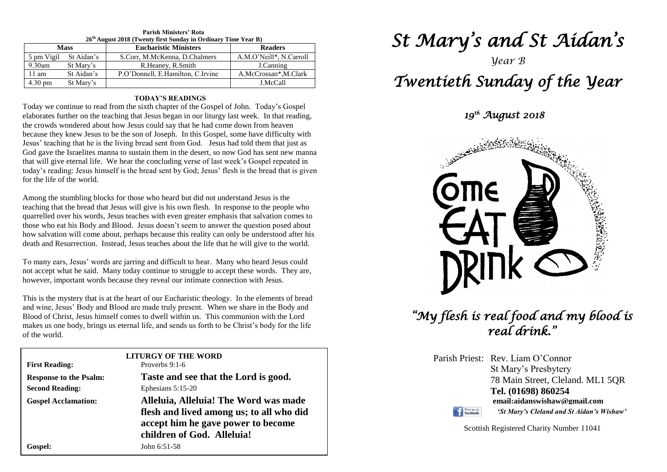| 26 <sup>th</sup> August 2018 (Twenty first Sunday in Ordinary Time Year B) |            |                                   |                         |  |  |  |
|----------------------------------------------------------------------------|------------|-----------------------------------|-------------------------|--|--|--|
| <b>Mass</b>                                                                |            | <b>Eucharistic Ministers</b>      | <b>Readers</b>          |  |  |  |
| 5 pm Vigil                                                                 | St Aidan's | S.Corr, M.McKenna, D.Chalmers     | A.M.O'Neill*, N.Carroll |  |  |  |
| $9.30$ am                                                                  | St Mary's  | R.Heaney, R.Smith                 | J.Canning               |  |  |  |
| 11 am                                                                      | St Aidan's | P.O'Donnell, E.Hamilton, C.Irvine | A.McCrossan*,M.Clark    |  |  |  |
| $4.30 \text{ pm}$                                                          | St Mary's  |                                   | J.McCall                |  |  |  |

### **Parish Ministers' Rota**

#### **TODAY'S READINGS**

Today we continue to read from the sixth chapter of the Gospel of John. Today's Gospel elaborates further on the teaching that Jesus began in our liturgy last week. In that reading, the crowds wondered about how Jesus could say that he had come down from heaven because they knew Jesus to be the son of Joseph. In this Gospel, some have difficulty with Jesus' teaching that he is the living bread sent from God. Jesus had told them that just as God gave the Israelites manna to sustain them in the desert, so now God has sent new manna that will give eternal life. We hear the concluding verse of last week's Gospel repeated in today's reading: Jesus himself is the bread sent by God; Jesus' flesh is the bread that is given for the life of the world.

*death and Resurrection.* Instead, Jesus teaches about the life that he will give to the world.<br>To many ages, James' words are igning and difficult to have. More who have leave aguld. Among the stumbling blocks for those who heard but did not understand Jesus is the teaching that the bread that Jesus will give is his own flesh. In response to the people who quarrelled over his words, Jesus teaches with even greater emphasis that salvation comes to those who eat his Body and Blood. Jesus doesn't seem to answer the question posed about how salvation will come about, perhaps because this reality can only be understood after his

not accept what he said. Many today continue to struggle to accept these words. Thowever, important words because they reveal our intimate connection with Jesus. To many ears, Jesus' words are jarring and difficult to hear. Many who heard Jesus could not accept what he said. Many today continue to struggle to accept these words. They are,

This is the mystery that is at the heart of our Eucharistic theology. In the elements of bread<br>and wine, Jesus' Body and Blood are made truly present. When we share in the Body and makes us one body, brings us eternal life, and sends us forth to be Christ's body for the life of the world. This is the mystery that is at the heart of our Eucharistic theology. In the elements of bread Blood of Christ, Jesus himself comes to dwell within us. This communion with the Lord of the world.

| <b>First Reading:</b>         | LITURGY OF THE WORD<br>Proverbs $9:1-6$                                                                                                               |  |
|-------------------------------|-------------------------------------------------------------------------------------------------------------------------------------------------------|--|
| <b>Response to the Psalm:</b> | Taste and see that the Lord is good.                                                                                                                  |  |
| <b>Second Reading:</b>        | Ephesians 5:15-20                                                                                                                                     |  |
| <b>Gospel Acclamation:</b>    | Alleluia, Alleluia! The Word was made<br>flesh and lived among us; to all who did<br>accept him he gave power to become<br>children of God. Alleluia! |  |
| Gospel:                       | John 6:51-58                                                                                                                                          |  |

# *St Mary's and St Aidan's*

# *Year B Twentieth Sunday of the Year*

 *19th August 2018* 



## *"My flesh is real food and my blood is real drink."*

Parish Priest: Rev. Liam O'Connor St Mary's Presbytery 78 Main Street, Cleland. ML1 5QR **Tel. (01698) 860254 email:aidanswishaw@gmail.com** Find us on *'St Mary's Cleland and St Aidan's Wishaw'*

Scottish Registered Charity Number 11041